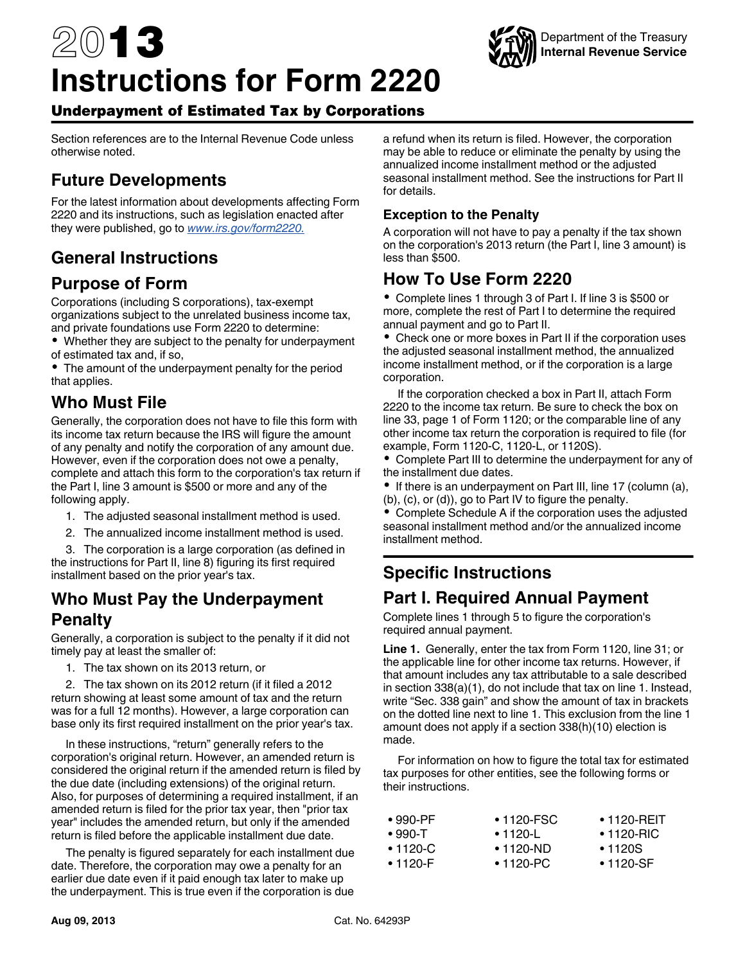# 2013 **Instructions for Form 2220**



## Underpayment of Estimated Tax by Corporations

Section references are to the Internal Revenue Code unless otherwise noted.

# **Future Developments**

For the latest information about developments affecting Form 2220 and its instructions, such as legislation enacted after they were published, go to *[www.irs.gov/form2220.](http://www.irs.gov/form2220)*

## **General Instructions**

### **Purpose of Form**

Corporations (including S corporations), tax-exempt organizations subject to the unrelated business income tax, and private foundations use Form 2220 to determine:

Whether they are subject to the penalty for underpayment of estimated tax and, if so,

The amount of the underpayment penalty for the period that applies.

### **Who Must File**

Generally, the corporation does not have to file this form with its income tax return because the IRS will figure the amount of any penalty and notify the corporation of any amount due. However, even if the corporation does not owe a penalty, complete and attach this form to the corporation's tax return if the Part I, line 3 amount is \$500 or more and any of the following apply.

- 1. The adjusted seasonal installment method is used.
- 2. The annualized income installment method is used.

3. The corporation is a large corporation (as defined in the instructions for Part II, line 8) figuring its first required installment based on the prior year's tax.

#### **Who Must Pay the Underpayment Penalty**

Generally, a corporation is subject to the penalty if it did not timely pay at least the smaller of:

1. The tax shown on its 2013 return, or

2. The tax shown on its 2012 return (if it filed a 2012 return showing at least some amount of tax and the return was for a full 12 months). However, a large corporation can base only its first required installment on the prior year's tax.

In these instructions, "return" generally refers to the corporation's original return. However, an amended return is considered the original return if the amended return is filed by the due date (including extensions) of the original return. Also, for purposes of determining a required installment, if an amended return is filed for the prior tax year, then "prior tax year" includes the amended return, but only if the amended return is filed before the applicable installment due date.

The penalty is figured separately for each installment due date. Therefore, the corporation may owe a penalty for an earlier due date even if it paid enough tax later to make up the underpayment. This is true even if the corporation is due

a refund when its return is filed. However, the corporation may be able to reduce or eliminate the penalty by using the annualized income installment method or the adjusted seasonal installment method. See the instructions for Part II for details.

#### **Exception to the Penalty**

A corporation will not have to pay a penalty if the tax shown on the corporation's 2013 return (the Part I, line 3 amount) is less than \$500.

### **How To Use Form 2220**

Complete lines 1 through 3 of Part I. If line 3 is \$500 or more, complete the rest of Part I to determine the required annual payment and go to Part II.

Check one or more boxes in Part II if the corporation uses the adjusted seasonal installment method, the annualized income installment method, or if the corporation is a large corporation.

If the corporation checked a box in Part II, attach Form 2220 to the income tax return. Be sure to check the box on line 33, page 1 of Form 1120; or the comparable line of any other income tax return the corporation is required to file (for example, Form 1120-C, 1120-L, or 1120S).

Complete Part III to determine the underpayment for any of the installment due dates.

If there is an underpayment on Part III, line 17 (column (a), (b), (c), or (d)), go to Part IV to figure the penalty.

Complete Schedule A if the corporation uses the adjusted seasonal installment method and/or the annualized income installment method.

## **Specific Instructions**

## **Part I. Required Annual Payment**

Complete lines 1 through 5 to figure the corporation's required annual payment.

**Line 1.** Generally, enter the tax from Form 1120, line 31; or the applicable line for other income tax returns. However, if that amount includes any tax attributable to a sale described in section 338(a)(1), do not include that tax on line 1. Instead, write "Sec. 338 gain" and show the amount of tax in brackets on the dotted line next to line 1. This exclusion from the line 1 amount does not apply if a section 338(h)(10) election is made.

For information on how to figure the total tax for estimated tax purposes for other entities, see the following forms or their instructions.

| ∙ 990-PF | • 1120-FSC | $\bullet$ 1120-REIT |
|----------|------------|---------------------|
| • 990-T  | • 1120-L   | $\cdot$ 1120-RIC    |
| • 1120-C | ∙ 1120-ND  | $\cdot$ 1120S       |
| ∙ 1120-F | • 1120-PC  | $\cdot$ 1120-SF     |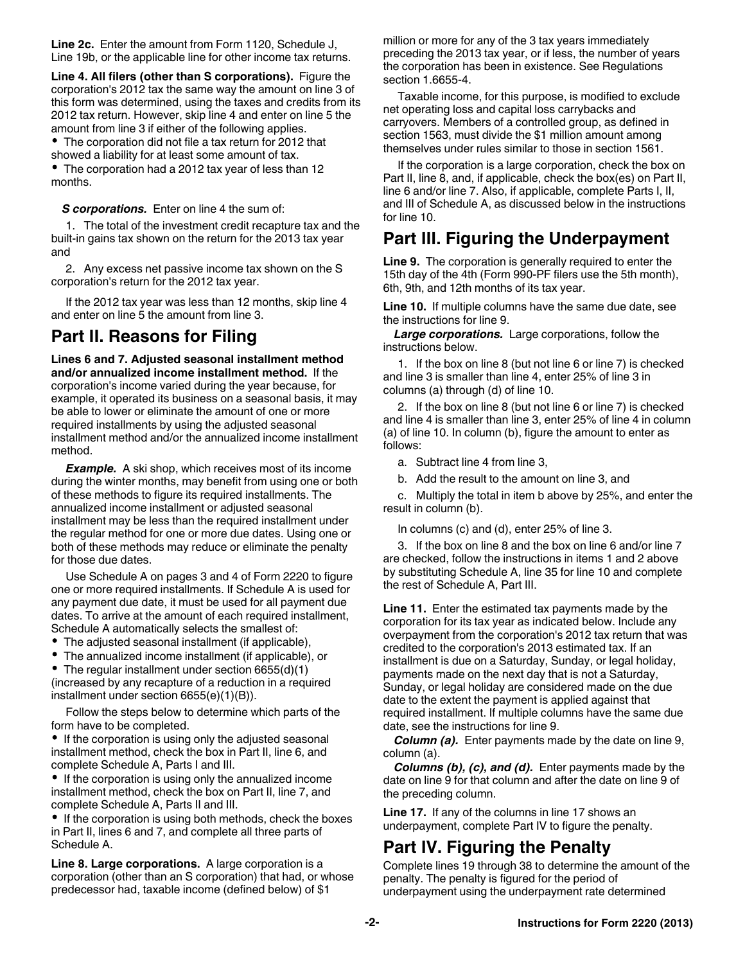**Line 2c.** Enter the amount from Form 1120, Schedule J, Line 19b, or the applicable line for other income tax returns.

**Line 4. All filers (other than S corporations).** Figure the corporation's 2012 tax the same way the amount on line 3 of this form was determined, using the taxes and credits from its 2012 tax return. However, skip line 4 and enter on line 5 the amount from line 3 if either of the following applies.

The corporation did not file a tax return for 2012 that showed a liability for at least some amount of tax.

The corporation had a 2012 tax year of less than 12 months.

*S corporations.* Enter on line 4 the sum of:

1. The total of the investment credit recapture tax and the built-in gains tax shown on the return for the 2013 tax year and

2. Any excess net passive income tax shown on the S corporation's return for the 2012 tax year.

If the 2012 tax year was less than 12 months, skip line 4 and enter on line 5 the amount from line 3.

# **Part II. Reasons for Filing**

**Lines 6 and 7. Adjusted seasonal installment method and/or annualized income installment method.** If the corporation's income varied during the year because, for example, it operated its business on a seasonal basis, it may be able to lower or eliminate the amount of one or more required installments by using the adjusted seasonal installment method and/or the annualized income installment method.

**Example.** A ski shop, which receives most of its income during the winter months, may benefit from using one or both of these methods to figure its required installments. The annualized income installment or adjusted seasonal installment may be less than the required installment under the regular method for one or more due dates. Using one or both of these methods may reduce or eliminate the penalty for those due dates.

Use Schedule A on pages 3 and 4 of Form 2220 to figure one or more required installments. If Schedule A is used for any payment due date, it must be used for all payment due dates. To arrive at the amount of each required installment, Schedule A automatically selects the smallest of:

The adjusted seasonal installment (if applicable),

The annualized income installment (if applicable), or

The regular installment under section 6655(d)(1) (increased by any recapture of a reduction in a required installment under section 6655(e)(1)(B)).

Follow the steps below to determine which parts of the form have to be completed.

• If the corporation is using only the adjusted seasonal installment method, check the box in Part II, line 6, and complete Schedule A, Parts I and III.

• If the corporation is using only the annualized income installment method, check the box on Part II, line 7, and complete Schedule A, Parts II and III.

• If the corporation is using both methods, check the boxes in Part II, lines 6 and 7, and complete all three parts of Schedule A.

**Line 8. Large corporations.** A large corporation is a corporation (other than an S corporation) that had, or whose predecessor had, taxable income (defined below) of \$1

million or more for any of the 3 tax years immediately preceding the 2013 tax year, or if less, the number of years the corporation has been in existence. See Regulations section 1.6655-4.

Taxable income, for this purpose, is modified to exclude net operating loss and capital loss carrybacks and carryovers. Members of a controlled group, as defined in section 1563, must divide the \$1 million amount among themselves under rules similar to those in section 1561.

If the corporation is a large corporation, check the box on Part II, line 8, and, if applicable, check the box(es) on Part II, line 6 and/or line 7. Also, if applicable, complete Parts I, II, and III of Schedule A, as discussed below in the instructions for line 10.

## **Part III. Figuring the Underpayment**

**Line 9.** The corporation is generally required to enter the 15th day of the 4th (Form 990-PF filers use the 5th month), 6th, 9th, and 12th months of its tax year.

**Line 10.** If multiple columns have the same due date, see the instructions for line 9.

*Large corporations.* Large corporations, follow the instructions below.

1. If the box on line 8 (but not line 6 or line 7) is checked and line 3 is smaller than line 4, enter 25% of line 3 in columns (a) through (d) of line 10.

2. If the box on line 8 (but not line 6 or line 7) is checked and line 4 is smaller than line 3, enter 25% of line 4 in column (a) of line 10. In column (b), figure the amount to enter as follows:

a. Subtract line 4 from line 3,

b. Add the result to the amount on line 3, and

c. Multiply the total in item b above by 25%, and enter the result in column (b).

In columns (c) and (d), enter 25% of line 3.

3. If the box on line 8 and the box on line 6 and/or line 7 are checked, follow the instructions in items 1 and 2 above by substituting Schedule A, line 35 for line 10 and complete the rest of Schedule A, Part III.

**Line 11.** Enter the estimated tax payments made by the corporation for its tax year as indicated below. Include any overpayment from the corporation's 2012 tax return that was credited to the corporation's 2013 estimated tax. If an installment is due on a Saturday, Sunday, or legal holiday, payments made on the next day that is not a Saturday, Sunday, or legal holiday are considered made on the due date to the extent the payment is applied against that required installment. If multiple columns have the same due date, see the instructions for line 9.

*Column (a).* Enter payments made by the date on line 9, column (a).

*Columns (b), (c), and (d).* Enter payments made by the date on line 9 for that column and after the date on line 9 of the preceding column.

**Line 17.** If any of the columns in line 17 shows an underpayment, complete Part IV to figure the penalty.

# **Part IV. Figuring the Penalty**

Complete lines 19 through 38 to determine the amount of the penalty. The penalty is figured for the period of underpayment using the underpayment rate determined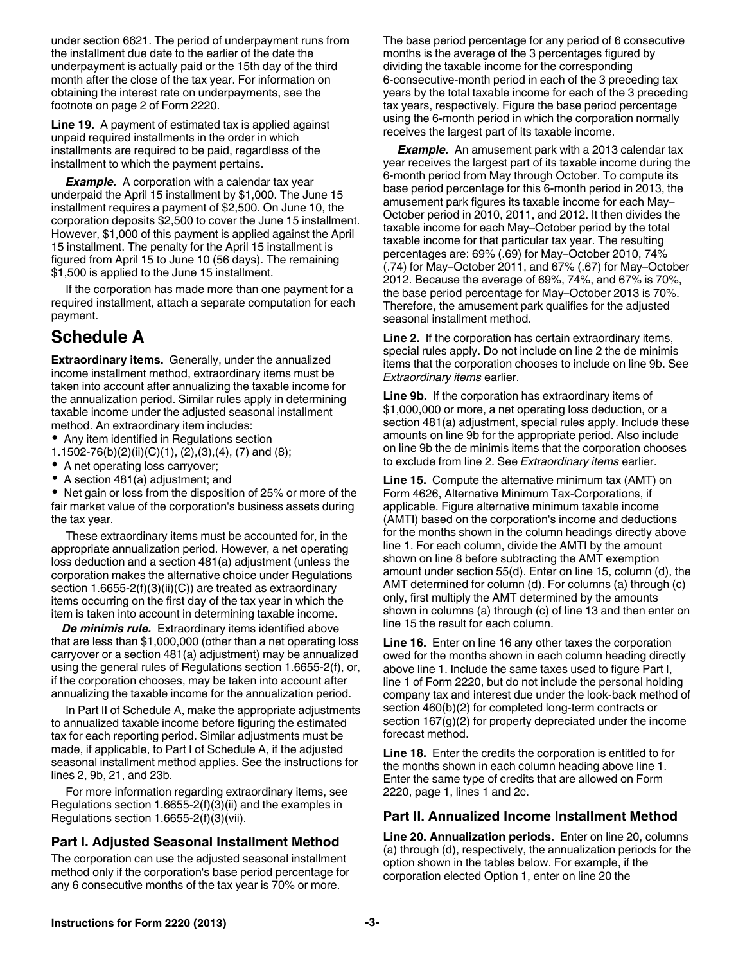under section 6621. The period of underpayment runs from the installment due date to the earlier of the date the underpayment is actually paid or the 15th day of the third month after the close of the tax year. For information on obtaining the interest rate on underpayments, see the footnote on page 2 of Form 2220.

**Line 19.** A payment of estimated tax is applied against unpaid required installments in the order in which installments are required to be paid, regardless of the installment to which the payment pertains.

**Example.** A corporation with a calendar tax year underpaid the April 15 installment by \$1,000. The June 15 installment requires a payment of \$2,500. On June 10, the corporation deposits \$2,500 to cover the June 15 installment. However, \$1,000 of this payment is applied against the April 15 installment. The penalty for the April 15 installment is figured from April 15 to June 10 (56 days). The remaining \$1,500 is applied to the June 15 installment.

If the corporation has made more than one payment for a required installment, attach a separate computation for each payment.

# **Schedule A**

**Extraordinary items.** Generally, under the annualized income installment method, extraordinary items must be taken into account after annualizing the taxable income for the annualization period. Similar rules apply in determining taxable income under the adjusted seasonal installment method. An extraordinary item includes:

- Any item identified in Regulations section
- 1.1502-76(b)(2)(ii)(C)(1), (2),(3),(4), (7) and (8);
- A net operating loss carryover;
- A section 481(a) adjustment; and

Net gain or loss from the disposition of 25% or more of the fair market value of the corporation's business assets during the tax year.

These extraordinary items must be accounted for, in the appropriate annualization period. However, a net operating loss deduction and a section 481(a) adjustment (unless the corporation makes the alternative choice under Regulations section 1.6655-2(f)(3)(ii)(C)) are treated as extraordinary items occurring on the first day of the tax year in which the item is taken into account in determining taxable income.

*De minimis rule.* Extraordinary items identified above that are less than \$1,000,000 (other than a net operating loss carryover or a section 481(a) adjustment) may be annualized using the general rules of Regulations section 1.6655-2(f), or, if the corporation chooses, may be taken into account after annualizing the taxable income for the annualization period.

In Part II of Schedule A, make the appropriate adjustments to annualized taxable income before figuring the estimated tax for each reporting period. Similar adjustments must be made, if applicable, to Part I of Schedule A, if the adjusted seasonal installment method applies. See the instructions for lines 2, 9b, 21, and 23b.

For more information regarding extraordinary items, see Regulations section 1.6655-2(f)(3)(ii) and the examples in Regulations section 1.6655-2(f)(3)(vii).

#### **Part I. Adjusted Seasonal Installment Method**

The corporation can use the adjusted seasonal installment method only if the corporation's base period percentage for any 6 consecutive months of the tax year is 70% or more.

The base period percentage for any period of 6 consecutive months is the average of the 3 percentages figured by dividing the taxable income for the corresponding 6-consecutive-month period in each of the 3 preceding tax years by the total taxable income for each of the 3 preceding tax years, respectively. Figure the base period percentage using the 6-month period in which the corporation normally receives the largest part of its taxable income.

**Example.** An amusement park with a 2013 calendar tax year receives the largest part of its taxable income during the 6-month period from May through October. To compute its base period percentage for this 6-month period in 2013, the amusement park figures its taxable income for each May– October period in 2010, 2011, and 2012. It then divides the taxable income for each May–October period by the total taxable income for that particular tax year. The resulting percentages are: 69% (.69) for May–October 2010, 74% (.74) for May–October 2011, and 67% (.67) for May–October 2012. Because the average of 69%, 74%, and 67% is 70%, the base period percentage for May–October 2013 is 70%. Therefore, the amusement park qualifies for the adjusted seasonal installment method.

**Line 2.** If the corporation has certain extraordinary items, special rules apply. Do not include on line 2 the de minimis items that the corporation chooses to include on line 9b. See *Extraordinary items* earlier.

**Line 9b.** If the corporation has extraordinary items of \$1,000,000 or more, a net operating loss deduction, or a section 481(a) adjustment, special rules apply. Include these amounts on line 9b for the appropriate period. Also include on line 9b the de minimis items that the corporation chooses to exclude from line 2. See *Extraordinary items* earlier.

**Line 15.** Compute the alternative minimum tax (AMT) on Form 4626, Alternative Minimum Tax-Corporations, if applicable. Figure alternative minimum taxable income (AMTI) based on the corporation's income and deductions for the months shown in the column headings directly above line 1. For each column, divide the AMTI by the amount shown on line 8 before subtracting the AMT exemption amount under section 55(d). Enter on line 15, column (d), the AMT determined for column (d). For columns (a) through (c) only, first multiply the AMT determined by the amounts shown in columns (a) through (c) of line 13 and then enter on line 15 the result for each column.

**Line 16.** Enter on line 16 any other taxes the corporation owed for the months shown in each column heading directly above line 1. Include the same taxes used to figure Part I, line 1 of Form 2220, but do not include the personal holding company tax and interest due under the look-back method of section 460(b)(2) for completed long-term contracts or section 167(g)(2) for property depreciated under the income forecast method.

**Line 18.** Enter the credits the corporation is entitled to for the months shown in each column heading above line 1. Enter the same type of credits that are allowed on Form 2220, page 1, lines 1 and 2c.

#### **Part II. Annualized Income Installment Method**

**Line 20. Annualization periods.** Enter on line 20, columns (a) through (d), respectively, the annualization periods for the option shown in the tables below. For example, if the corporation elected Option 1, enter on line 20 the